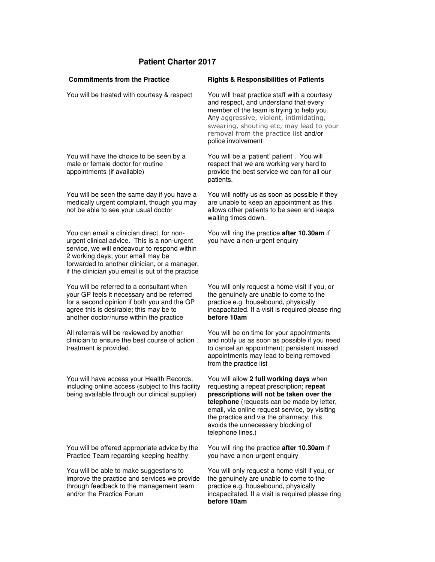## **Patient Charter 2017**

| <b>Commitments from the Practice</b>                                                                                                                                                                                                                                                  | <b>Rights &amp; Responsibilities of Patients</b>                                                                                                                                                                                                                                                                                      |
|---------------------------------------------------------------------------------------------------------------------------------------------------------------------------------------------------------------------------------------------------------------------------------------|---------------------------------------------------------------------------------------------------------------------------------------------------------------------------------------------------------------------------------------------------------------------------------------------------------------------------------------|
| You will be treated with courtesy & respect                                                                                                                                                                                                                                           | You will treat practice staff with a courtesy<br>and respect, and understand that every<br>member of the team is trying to help you.<br>Any aggressive, violent, intimidating,<br>swearing, shouting etc, may lead to your<br>removal from the practice list and/or<br>police involvement                                             |
| You will have the choice to be seen by a<br>male or female doctor for routine<br>appointments (if available)                                                                                                                                                                          | You will be a 'patient' patient. You will<br>respect that we are working very hard to<br>provide the best service we can for all our<br>patients.                                                                                                                                                                                     |
| You will be seen the same day if you have a<br>medically urgent complaint, though you may<br>not be able to see your usual doctor                                                                                                                                                     | You will notify us as soon as possible if they<br>are unable to keep an appointment as this<br>allows other patients to be seen and keeps<br>waiting times down.                                                                                                                                                                      |
| You can email a clinician direct, for non-<br>urgent clinical advice. This is a non-urgent<br>service, we will endeavour to respond within<br>2 working days; your email may be<br>forwarded to another clinician, or a manager,<br>if the clinician you email is out of the practice | You will ring the practice after 10.30am if<br>you have a non-urgent enquiry                                                                                                                                                                                                                                                          |
| You will be referred to a consultant when<br>your GP feels it necessary and be referred<br>for a second opinion if both you and the GP<br>agree this is desirable; this may be to<br>another doctor/nurse within the practice                                                         | You will only request a home visit if you, or<br>the genuinely are unable to come to the<br>practice e.g. housebound, physically<br>incapacitated. If a visit is required please ring<br>before 10am                                                                                                                                  |
| All referrals will be reviewed by another<br>clinician to ensure the best course of action.<br>treatment is provided.                                                                                                                                                                 | You will be on time for your appointments<br>and notify us as soon as possible if you need<br>to cancel an appointment; persistent missed<br>appointments may lead to being removed<br>from the practice list                                                                                                                         |
| You will have access your Health Records,<br>including online access (subject to this facility<br>being available through our clinical supplier)                                                                                                                                      | You will allow 2 full working days when<br>requesting a repeat prescription; repeat<br>prescriptions will not be taken over the<br>telephone (requests can be made by letter,<br>email, via online request service, by visiting<br>the practice and via the pharmacy; this<br>avoids the unnecessary blocking of<br>telephone lines.) |
| You will be offered appropriate advice by the<br>Practice Team regarding keeping healthy                                                                                                                                                                                              | You will ring the practice after 10.30am if<br>you have a non-urgent enquiry                                                                                                                                                                                                                                                          |
| You will be able to make suggestions to<br>improve the practice and services we provide<br>through feedback to the management team<br>and/or the Practice Forum                                                                                                                       | You will only request a home visit if you, or<br>the genuinely are unable to come to the<br>practice e.g. housebound, physically<br>incapacitated. If a visit is required please ring<br>before 10am                                                                                                                                  |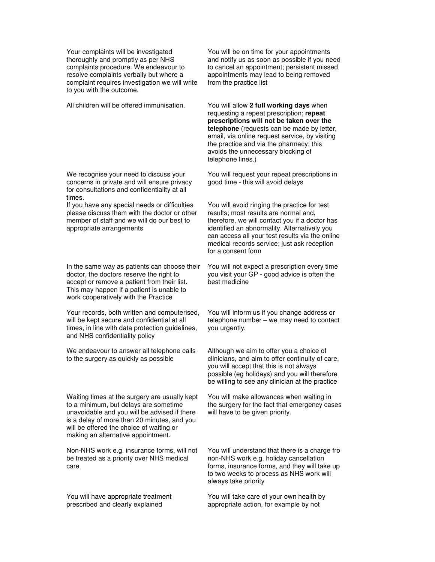Your complaints will be investigated thoroughly and promptly as per NHS complaints procedure. We endeavour to resolve complaints verbally but where a complaint requires investigation we will write to you with the outcome.

All children will be offered immunisation. You will allow **2 full working days** when

We recognise your need to discuss your concerns in private and will ensure privacy for consultations and confidentiality at all times.

If you have any special needs or difficulties please discuss them with the doctor or other member of staff and we will do our best to appropriate arrangements

In the same way as patients can choose their doctor, the doctors reserve the right to accept or remove a patient from their list. This may happen if a patient is unable to work cooperatively with the Practice

Your records, both written and computerised, will be kept secure and confidential at all times, in line with data protection guidelines, and NHS confidentiality policy

We endeavour to answer all telephone calls to the surgery as quickly as possible

Waiting times at the surgery are usually kept to a minimum, but delays are sometime unavoidable and you will be advised if there is a delay of more than 20 minutes, and you will be offered the choice of waiting or making an alternative appointment.

Non-NHS work e.g. insurance forms, will not be treated as a priority over NHS medical care

You will have appropriate treatment prescribed and clearly explained

You will be on time for your appointments and notify us as soon as possible if you need to cancel an appointment; persistent missed appointments may lead to being removed from the practice list

requesting a repeat prescription; **repeat prescriptions will not be taken over the telephone** (requests can be made by letter, email, via online request service, by visiting the practice and via the pharmacy; this avoids the unnecessary blocking of telephone lines.)

You will request your repeat prescriptions in good time - this will avoid delays

You will avoid ringing the practice for test results; most results are normal and, therefore, we will contact you if a doctor has identified an abnormality. Alternatively you can access all your test results via the online medical records service; just ask reception for a consent form

You will not expect a prescription every time you visit your GP - good advice is often the best medicine

You will inform us if you change address or telephone number – we may need to contact you urgently.

Although we aim to offer you a choice of clinicians, and aim to offer continuity of care, you will accept that this is not always possible (eg holidays) and you will therefore be willing to see any clinician at the practice

You will make allowances when waiting in the surgery for the fact that emergency cases will have to be given priority.

You will understand that there is a charge fro non-NHS work e.g. holiday cancellation forms, insurance forms, and they will take up to two weeks to process as NHS work will always take priority

You will take care of your own health by appropriate action, for example by not